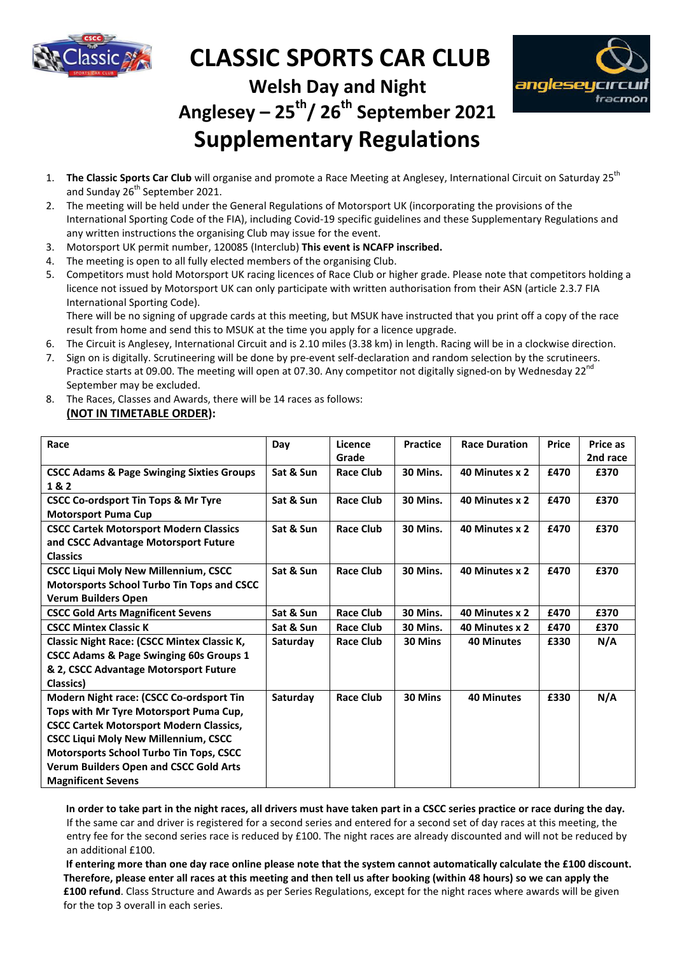

## **CLASSIC SPORTS CAR CLUB SPORTS**



**Welsh Day and Night** 

## **Anglesey Anglesey – 25th/ 26th September 2021 Supplementary Regulations Supplementary**

- 1. The Classic Sports Car Club will organise and promote a Race Meeting at Anglesey, International and Sunday 26<sup>th</sup> September 2021.
- 2. The meeting will be held under the General Regulations of Motorsport UK (incorporating the provisions of the International Sporting Code of the FIA), including Covid-19 specific guidelines and these Supplementary Regulations and any written instructions the organising Club may issue for the event.
- any written instructions the organising Club may issue for the event.<br>3. Motorsport UK permit number, 120085 (Interclub) **This event is NCAFP inscribed.**
- 4. The meeting is open to all fully elected members of the organising Club.
- 5. Competitors must hold Motorsport UK racing licences of Race Club or higher grade. Please note that competitors holding a licence not issued by Motorsport UK can only participate with written authorisation from their ASN (article 2.3.7 FIA International Sporting Code).

- 6. The Circuit is Anglesey, International Circuit and is 2.10 miles (3.38 km) in length. Racing will be in a clockwise direction.
- 7. Sign on is digitally. Scrutineering will be done by pre-event self-declaration and random selection by the scrutineers. Practice starts at 09.00. The meeting will open at 07.30. Any competitor not digitally signed-September may be excluded. .38 km) in length. Racing will be in a clockwise direc<br>declaration and random selection by the scrutineer<br>mpetitor not digitally signed-on by Wednesday 22<sup>nd</sup>
- 8. The Races, Classes and Awards, there will be 14 races as follows: **(NOT IN TIMETABLE ORDER):**

| 1.                                                                                                                           | The Classic Sports Car Club will organise and promote a Race Meeting at Anglesey, International Circuit on Saturday 25 <sup>th</sup><br>and Sunday 26 <sup>th</sup> September 2021.                                                     |           |                  |                 |                      |              |          |
|------------------------------------------------------------------------------------------------------------------------------|-----------------------------------------------------------------------------------------------------------------------------------------------------------------------------------------------------------------------------------------|-----------|------------------|-----------------|----------------------|--------------|----------|
| 2.                                                                                                                           | The meeting will be held under the General Regulations of Motorsport UK (incorporating the provisions of the<br>International Sporting Code of the FIA), including Covid-19 specific guidelines and these Supplementary Regulations and |           |                  |                 |                      |              |          |
|                                                                                                                              | any written instructions the organising Club may issue for the event.                                                                                                                                                                   |           |                  |                 |                      |              |          |
| 3.                                                                                                                           | Motorsport UK permit number, 120085 (Interclub) This event is NCAFP inscribed.                                                                                                                                                          |           |                  |                 |                      |              |          |
| 4.                                                                                                                           | The meeting is open to all fully elected members of the organising Club.                                                                                                                                                                |           |                  |                 |                      |              |          |
| 5.                                                                                                                           |                                                                                                                                                                                                                                         |           |                  |                 |                      |              |          |
|                                                                                                                              | Competitors must hold Motorsport UK racing licences of Race Club or higher grade. Please note that competitors holding a                                                                                                                |           |                  |                 |                      |              |          |
|                                                                                                                              | licence not issued by Motorsport UK can only participate with written authorisation from their ASN (article 2.3.7 FIA                                                                                                                   |           |                  |                 |                      |              |          |
|                                                                                                                              | International Sporting Code).<br>There will be no signing of upgrade cards at this meeting, but MSUK have instructed that you print off a copy of the race                                                                              |           |                  |                 |                      |              |          |
|                                                                                                                              | result from home and send this to MSUK at the time you apply for a licence upgrade.                                                                                                                                                     |           |                  |                 |                      |              |          |
| 6.                                                                                                                           | The Circuit is Anglesey, International Circuit and is 2.10 miles (3.38 km) in length. Racing will be in a clockwise direction.                                                                                                          |           |                  |                 |                      |              |          |
| 7.                                                                                                                           | Sign on is digitally. Scrutineering will be done by pre-event self-declaration and random selection by the scrutineers.                                                                                                                 |           |                  |                 |                      |              |          |
|                                                                                                                              | Practice starts at 09.00. The meeting will open at 07.30. Any competitor not digitally signed-on by Wednesday 22 <sup>nd</sup>                                                                                                          |           |                  |                 |                      |              |          |
|                                                                                                                              | September may be excluded.                                                                                                                                                                                                              |           |                  |                 |                      |              |          |
| 8.                                                                                                                           | The Races, Classes and Awards, there will be 14 races as follows:                                                                                                                                                                       |           |                  |                 |                      |              |          |
|                                                                                                                              | (NOT IN TIMETABLE ORDER):                                                                                                                                                                                                               |           |                  |                 |                      |              |          |
|                                                                                                                              |                                                                                                                                                                                                                                         |           |                  |                 |                      |              |          |
| Race                                                                                                                         |                                                                                                                                                                                                                                         | Day       | Licence          | <b>Practice</b> | <b>Race Duration</b> | <b>Price</b> | Price as |
|                                                                                                                              |                                                                                                                                                                                                                                         |           | Grade            |                 |                      |              | 2nd race |
|                                                                                                                              | <b>CSCC Adams &amp; Page Swinging Sixties Groups</b>                                                                                                                                                                                    | Sat & Sun | <b>Race Club</b> | 30 Mins.        | 40 Minutes x 2       | £470         | £370     |
| 1&2                                                                                                                          |                                                                                                                                                                                                                                         |           |                  |                 |                      |              |          |
|                                                                                                                              | <b>CSCC Co-ordsport Tin Tops &amp; Mr Tyre</b>                                                                                                                                                                                          | Sat & Sun | <b>Race Club</b> | 30 Mins.        | 40 Minutes x 2       | £470         | £370     |
| <b>Motorsport Puma Cup</b>                                                                                                   |                                                                                                                                                                                                                                         |           |                  |                 |                      |              |          |
|                                                                                                                              | <b>CSCC Cartek Motorsport Modern Classics</b>                                                                                                                                                                                           | Sat & Sun | <b>Race Club</b> | 30 Mins.        | 40 Minutes x 2       | £470         | £370     |
|                                                                                                                              | and CSCC Advantage Motorsport Future                                                                                                                                                                                                    |           |                  |                 |                      |              |          |
|                                                                                                                              | <b>Classics</b>                                                                                                                                                                                                                         |           |                  |                 |                      |              |          |
| <b>CSCC Liqui Moly New Millennium, CSCC</b>                                                                                  |                                                                                                                                                                                                                                         | Sat & Sun | <b>Race Club</b> | 30 Mins.        | 40 Minutes x 2       | £470         | £370     |
| Motorsports School Turbo Tin Tops and CSCC                                                                                   |                                                                                                                                                                                                                                         |           |                  |                 |                      |              |          |
|                                                                                                                              | <b>Verum Builders Open</b>                                                                                                                                                                                                              |           |                  |                 |                      |              |          |
| <b>CSCC Gold Arts Magnificent Sevens</b>                                                                                     |                                                                                                                                                                                                                                         | Sat & Sun | <b>Race Club</b> | 30 Mins.        | 40 Minutes x 2       | £470         | £370     |
| <b>CSCC Mintex Classic K</b>                                                                                                 |                                                                                                                                                                                                                                         | Sat & Sun | <b>Race Club</b> | 30 Mins.        | 40 Minutes x 2       | £470         | £370     |
|                                                                                                                              | <b>Classic Night Race: (CSCC Mintex Classic K,</b>                                                                                                                                                                                      | Saturday  | <b>Race Club</b> | 30 Mins         | <b>40 Minutes</b>    | £330         | N/A      |
| <b>CSCC Adams &amp; Page Swinging 60s Groups 1</b>                                                                           |                                                                                                                                                                                                                                         |           |                  |                 |                      |              |          |
|                                                                                                                              | & 2, CSCC Advantage Motorsport Future                                                                                                                                                                                                   |           |                  |                 |                      |              |          |
| Classics)                                                                                                                    |                                                                                                                                                                                                                                         |           |                  |                 |                      |              |          |
| Modern Night race: (CSCC Co-ordsport Tin                                                                                     |                                                                                                                                                                                                                                         | Saturday  | <b>Race Club</b> | 30 Mins         | <b>40 Minutes</b>    | £330         | N/A      |
|                                                                                                                              | Tops with Mr Tyre Motorsport Puma Cup,                                                                                                                                                                                                  |           |                  |                 |                      |              |          |
| <b>CSCC Cartek Motorsport Modern Classics,</b>                                                                               |                                                                                                                                                                                                                                         |           |                  |                 |                      |              |          |
| <b>CSCC Liqui Moly New Millennium, CSCC</b><br>Motorsports School Turbo Tin Tops, CSCC                                       |                                                                                                                                                                                                                                         |           |                  |                 |                      |              |          |
| <b>Verum Builders Open and CSCC Gold Arts</b>                                                                                |                                                                                                                                                                                                                                         |           |                  |                 |                      |              |          |
|                                                                                                                              |                                                                                                                                                                                                                                         |           |                  |                 |                      |              |          |
| <b>Magnificent Sevens</b>                                                                                                    |                                                                                                                                                                                                                                         |           |                  |                 |                      |              |          |
| In order to take part in the night races, all drivers must have taken part in a CSCC series practice or race during the day. |                                                                                                                                                                                                                                         |           |                  |                 |                      |              |          |
| If the same car and driver is registered for a second series and entered for a second set of day races at this meeting, the  |                                                                                                                                                                                                                                         |           |                  |                 |                      |              |          |
| entry fee for the second series race is reduced by £100. The night races are already discounted and will not be reduced by   |                                                                                                                                                                                                                                         |           |                  |                 |                      |              |          |
| an additional £100.                                                                                                          |                                                                                                                                                                                                                                         |           |                  |                 |                      |              |          |
| If entering more than one day race online please note that the system cannot automatically calculate the £100 discount.      |                                                                                                                                                                                                                                         |           |                  |                 |                      |              |          |
|                                                                                                                              | Therefore, please enter all races at this meeting and then tell us after booking (within 48 hours) so we can apply the                                                                                                                  |           |                  |                 |                      |              |          |
| £100 refund. Class Structure and Awards as per Series Regulations, except for the night races where awards will be given     |                                                                                                                                                                                                                                         |           |                  |                 |                      |              |          |

If entering more than one day race online please note that the system cannot automatically calculate the £100 discount. Therefore, please enter all races at this meeting and then tell us after booking (within 48 hours) so we can apply the **£100 refund**. Class Structure and Awards as per Series Regulations, except for the night races where awards will be given for the top 3 overall in each series.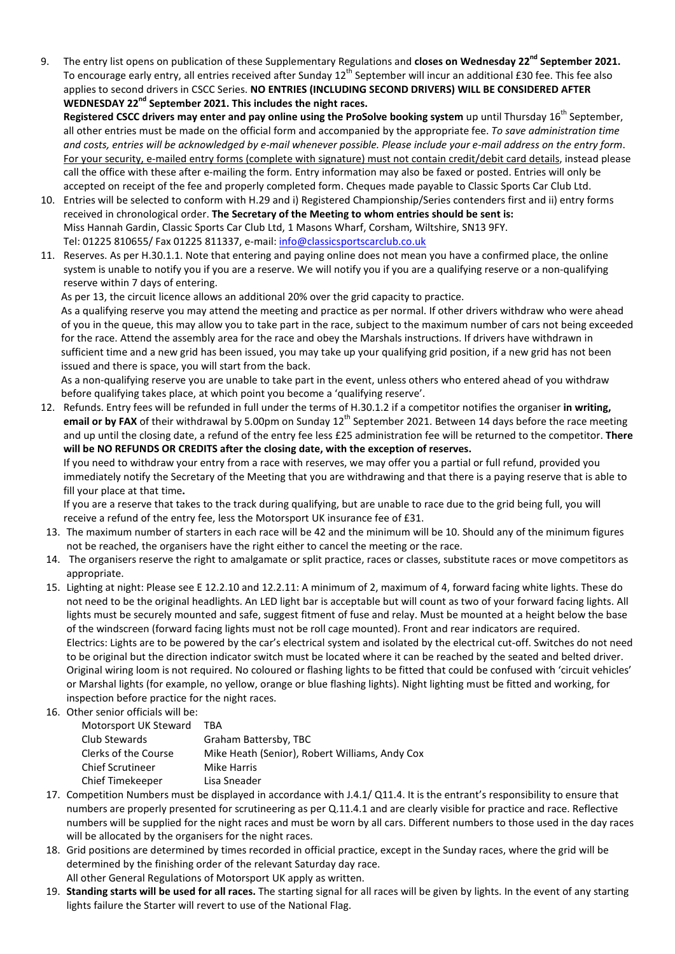9. The entry list opens on publication of these Supplementary Regulations and **closes on Wednesday 22nd September 2021.**  To encourage early entry, all entries received after Sunday  $12^{th}$  September will incur an additional £30 fee. This fee also applies to second drivers in CSCC Series. **NO ENTRIES (INCLUDING SECOND DRIVERS) WILL BE CONSIDERED AFTER WEDNESDAY 22nd September 2021. This includes the night races.** 

Registered CSCC drivers may enter and pay online using the ProSolve booking system up until Thursday 16<sup>th</sup> September, all other entries must be made on the official form and accompanied by the appropriate fee. *To save administration time and costs, entries will be acknowledged by e-mail whenever possible. Please include your e-mail address on the entry form*. For your security, e-mailed entry forms (complete with signature) must not contain credit/debit card details, instead please call the office with these after e-mailing the form. Entry information may also be faxed or posted. Entries will only be accepted on receipt of the fee and properly completed form. Cheques made payable to Classic Sports Car Club Ltd.

- 10. Entries will be selected to conform with H.29 and i) Registered Championship/Series contenders first and ii) entry forms received in chronological order. **The Secretary of the Meeting to whom entries should be sent is:**  Miss Hannah Gardin, Classic Sports Car Club Ltd, 1 Masons Wharf, Corsham, Wiltshire, SN13 9FY. Tel: 01225 810655/ Fax 01225 811337, e-mail: info@classicsportscarclub.co.uk
- 11. Reserves. As per H.30.1.1. Note that entering and paying online does not mean you have a confirmed place, the online system is unable to notify you if you are a reserve. We will notify you if you are a qualifying reserve or a non-qualifying reserve within 7 days of entering.

As per 13, the circuit licence allows an additional 20% over the grid capacity to practice.

As a qualifying reserve you may attend the meeting and practice as per normal. If other drivers withdraw who were ahead of you in the queue, this may allow you to take part in the race, subject to the maximum number of cars not being exceeded for the race. Attend the assembly area for the race and obey the Marshals instructions. If drivers have withdrawn in sufficient time and a new grid has been issued, you may take up your qualifying grid position, if a new grid has not been issued and there is space, you will start from the back.

As a non-qualifying reserve you are unable to take part in the event, unless others who entered ahead of you withdraw before qualifying takes place, at which point you become a 'qualifying reserve'.

12. Refunds. Entry fees will be refunded in full under the terms of H.30.1.2 if a competitor notifies the organiser **in writing, email or by FAX** of their withdrawal by 5.00pm on Sunday  $12^{th}$  September 2021. Between 14 days before the race meeting and up until the closing date, a refund of the entry fee less £25 administration fee will be returned to the competitor. **There will be NO REFUNDS OR CREDITS after the closing date, with the exception of reserves.**

If you need to withdraw your entry from a race with reserves, we may offer you a partial or full refund, provided you immediately notify the Secretary of the Meeting that you are withdrawing and that there is a paying reserve that is able to fill your place at that time**.** 

If you are a reserve that takes to the track during qualifying, but are unable to race due to the grid being full, you will receive a refund of the entry fee, less the Motorsport UK insurance fee of £31.

- 13. The maximum number of starters in each race will be 42 and the minimum will be 10. Should any of the minimum figures not be reached, the organisers have the right either to cancel the meeting or the race.
- 14. The organisers reserve the right to amalgamate or split practice, races or classes, substitute races or move competitors as appropriate.
- 15. Lighting at night: Please see E 12.2.10 and 12.2.11: A minimum of 2, maximum of 4, forward facing white lights. These do not need to be the original headlights. An LED light bar is acceptable but will count as two of your forward facing lights. All lights must be securely mounted and safe, suggest fitment of fuse and relay. Must be mounted at a height below the base of the windscreen (forward facing lights must not be roll cage mounted). Front and rear indicators are required. Electrics: Lights are to be powered by the car's electrical system and isolated by the electrical cut-off. Switches do not need to be original but the direction indicator switch must be located where it can be reached by the seated and belted driver. Original wiring loom is not required. No coloured or flashing lights to be fitted that could be confused with 'circuit vehicles' or Marshal lights (for example, no yellow, orange or blue flashing lights). Night lighting must be fitted and working, for inspection before practice for the night races.
- 16. Other senior officials will be:

| Motorsport UK Steward   | TBA                                            |
|-------------------------|------------------------------------------------|
| Club Stewards           | Graham Battersby, TBC                          |
| Clerks of the Course    | Mike Heath (Senior), Robert Williams, Andy Cox |
| <b>Chief Scrutineer</b> | Mike Harris                                    |
| Chief Timekeeper        | Lisa Sneader                                   |

- 17. Competition Numbers must be displayed in accordance with J.4.1/ Q11.4. It is the entrant's responsibility to ensure that numbers are properly presented for scrutineering as per Q.11.4.1 and are clearly visible for practice and race. Reflective numbers will be supplied for the night races and must be worn by all cars. Different numbers to those used in the day races will be allocated by the organisers for the night races.
- 18. Grid positions are determined by times recorded in official practice, except in the Sunday races, where the grid will be determined by the finishing order of the relevant Saturday day race.
- All other General Regulations of Motorsport UK apply as written.
- 19. **Standing starts will be used for all races.** The starting signal for all races will be given by lights. In the event of any starting lights failure the Starter will revert to use of the National Flag.